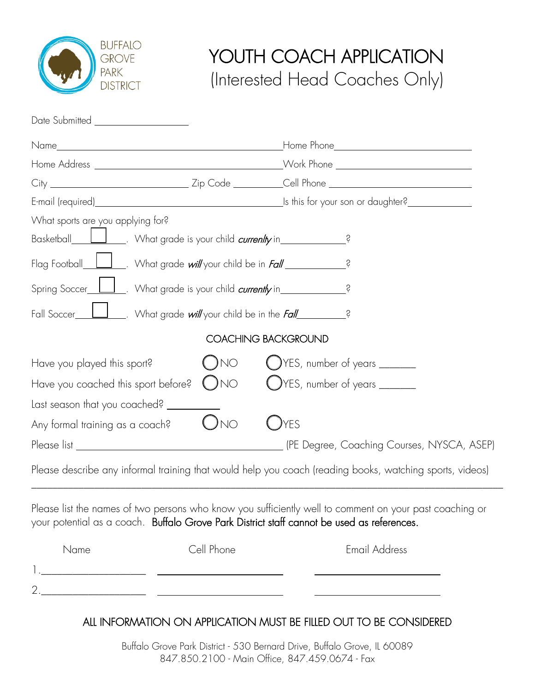

## YOUTH COACH APPLICATION (Interested Head Coaches Only)

| Date Submitted __________________                                                                                                                                                                                             |              |                                                                                                                                                                                                       |
|-------------------------------------------------------------------------------------------------------------------------------------------------------------------------------------------------------------------------------|--------------|-------------------------------------------------------------------------------------------------------------------------------------------------------------------------------------------------------|
|                                                                                                                                                                                                                               |              |                                                                                                                                                                                                       |
|                                                                                                                                                                                                                               |              |                                                                                                                                                                                                       |
|                                                                                                                                                                                                                               |              |                                                                                                                                                                                                       |
|                                                                                                                                                                                                                               |              | E-mail (required) E-mail (required) E-mail (required)                                                                                                                                                 |
| What sports are you applying for?                                                                                                                                                                                             |              |                                                                                                                                                                                                       |
| Basketball______________. What grade is your child <i>currenlty</i> in________________?                                                                                                                                       |              |                                                                                                                                                                                                       |
| Flag Football_1_1_1. What grade will your child be in Fall______________________                                                                                                                                              |              | Ş                                                                                                                                                                                                     |
| Spring Soccer Luist Number 19 What grade is your child currently in Spring Soccer Spring Soccer Spring Soccer Spring Soccer Spring Soccer Spring Soccer Spring Soccer Spring Soccer Spring Soccer Spring Soccer Spring Soccer |              |                                                                                                                                                                                                       |
|                                                                                                                                                                                                                               |              |                                                                                                                                                                                                       |
|                                                                                                                                                                                                                               |              | <b>COACHING BACKGROUND</b>                                                                                                                                                                            |
| Have you played this sport?                                                                                                                                                                                                   | ( )no        | VES, number of years ______                                                                                                                                                                           |
| Have you coached this sport before?                                                                                                                                                                                           | $\bigcup$ NO | OYES, number of years ______                                                                                                                                                                          |
| Last season that you coached?                                                                                                                                                                                                 |              |                                                                                                                                                                                                       |
| Any formal training as a coach?                                                                                                                                                                                               | $\bigcup$ NO | )yes                                                                                                                                                                                                  |
|                                                                                                                                                                                                                               |              |                                                                                                                                                                                                       |
|                                                                                                                                                                                                                               |              | Please describe any informal training that would help you coach (reading books, watching sports, videos)                                                                                              |
|                                                                                                                                                                                                                               |              | Please list the names of two persons who know you sufficiently well to comment on your past coaching or<br>your potential as a coach. Buffalo Grove Park District staff cannot be used as references. |
| Name                                                                                                                                                                                                                          | Cell Phone   | <b>Email Address</b>                                                                                                                                                                                  |

## ALL INFORMATION ON APPLICATION MUST BE FILLED OUT TO BE CONSIDERED

1.\_\_\_\_\_\_\_\_\_\_\_\_\_\_\_\_\_\_\_\_

 $2.$ 

Buffalo Grove Park District - 530 Bernard Drive, Buffalo Grove, IL 60089 847.850.2100 - Main Office, 847.459.0674 - Fax